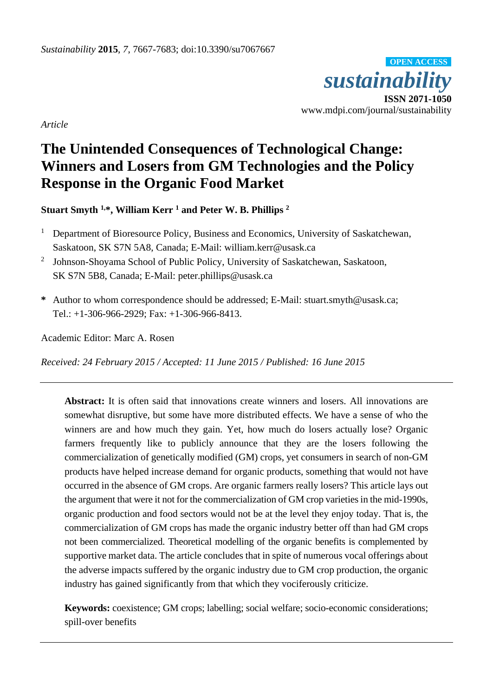

*Article*

# **The Unintended Consequences of Technological Change: Winners and Losers from GM Technologies and the Policy Response in the Organic Food Market**

**Stuart Smyth 1,\*, William Kerr <sup>1</sup> and Peter W. B. Phillips <sup>2</sup>**

- <sup>1</sup> Department of Bioresource Policy, Business and Economics, University of Saskatchewan, Saskatoon, SK S7N 5A8, Canada; E-Mail: william.kerr@usask.ca
- <sup>2</sup> Johnson-Shoyama School of Public Policy, University of Saskatchewan, Saskatoon, SK S7N 5B8, Canada; E-Mail: peter.phillips@usask.ca
- **\*** Author to whom correspondence should be addressed; E-Mail: stuart.smyth@usask.ca; Tel.:  $+1-306-966-2929$ ; Fax:  $+1-306-966-8413$ .

Academic Editor: Marc A. Rosen

*Received: 24 February 2015 / Accepted: 11 June 2015 / Published: 16 June 2015*

**Abstract:** It is often said that innovations create winners and losers. All innovations are somewhat disruptive, but some have more distributed effects. We have a sense of who the winners are and how much they gain. Yet, how much do losers actually lose? Organic farmers frequently like to publicly announce that they are the losers following the commercialization of genetically modified (GM) crops, yet consumers in search of non-GM products have helped increase demand for organic products, something that would not have occurred in the absence of GM crops. Are organic farmers really losers? This article lays out the argument that were it not for the commercialization of GM crop varieties in the mid-1990s, organic production and food sectors would not be at the level they enjoy today. That is, the commercialization of GM crops has made the organic industry better off than had GM crops not been commercialized. Theoretical modelling of the organic benefits is complemented by supportive market data. The article concludes that in spite of numerous vocal offerings about the adverse impacts suffered by the organic industry due to GM crop production, the organic industry has gained significantly from that which they vociferously criticize.

**Keywords:** coexistence; GM crops; labelling; social welfare; socio-economic considerations; spill-over benefits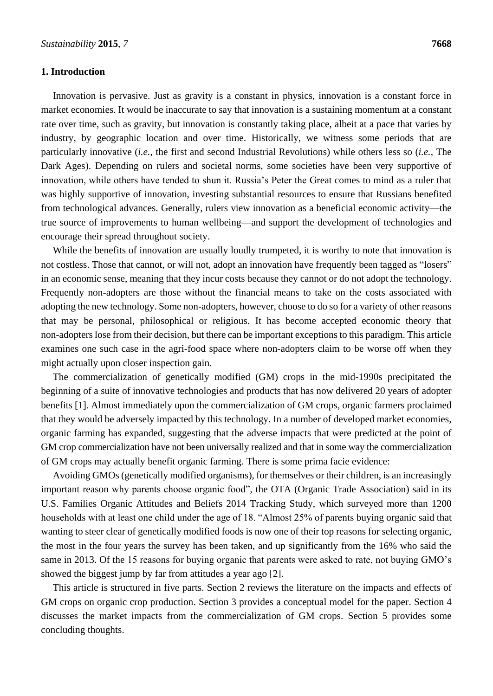#### **1. Introduction**

Innovation is pervasive. Just as gravity is a constant in physics, innovation is a constant force in market economies. It would be inaccurate to say that innovation is a sustaining momentum at a constant rate over time, such as gravity, but innovation is constantly taking place, albeit at a pace that varies by industry, by geographic location and over time. Historically, we witness some periods that are particularly innovative (*i.e.*, the first and second Industrial Revolutions) while others less so (*i.e.*, The Dark Ages). Depending on rulers and societal norms, some societies have been very supportive of innovation, while others have tended to shun it. Russia's Peter the Great comes to mind as a ruler that was highly supportive of innovation, investing substantial resources to ensure that Russians benefited from technological advances. Generally, rulers view innovation as a beneficial economic activity—the true source of improvements to human wellbeing—and support the development of technologies and encourage their spread throughout society.

While the benefits of innovation are usually loudly trumpeted, it is worthy to note that innovation is not costless. Those that cannot, or will not, adopt an innovation have frequently been tagged as "losers" in an economic sense, meaning that they incur costs because they cannot or do not adopt the technology. Frequently non-adopters are those without the financial means to take on the costs associated with adopting the new technology. Some non-adopters, however, choose to do so for a variety of other reasons that may be personal, philosophical or religious. It has become accepted economic theory that non-adopters lose from their decision, but there can be important exceptions to this paradigm. This article examines one such case in the agri-food space where non-adopters claim to be worse off when they might actually upon closer inspection gain.

The commercialization of genetically modified (GM) crops in the mid-1990s precipitated the beginning of a suite of innovative technologies and products that has now delivered 20 years of adopter benefits [1]. Almost immediately upon the commercialization of GM crops, organic farmers proclaimed that they would be adversely impacted by this technology. In a number of developed market economies, organic farming has expanded, suggesting that the adverse impacts that were predicted at the point of GM crop commercialization have not been universally realized and that in some way the commercialization of GM crops may actually benefit organic farming. There is some prima facie evidence:

Avoiding GMOs (genetically modified organisms), for themselves or their children, is an increasingly important reason why parents choose organic food", the OTA (Organic Trade Association) said in its U.S. Families Organic Attitudes and Beliefs 2014 Tracking Study, which surveyed more than 1200 households with at least one child under the age of 18. "Almost 25% of parents buying organic said that wanting to steer clear of genetically modified foods is now one of their top reasons for selecting organic, the most in the four years the survey has been taken, and up significantly from the 16% who said the same in 2013. Of the 15 reasons for buying organic that parents were asked to rate, not buying GMO's showed the biggest jump by far from attitudes a year ago [2].

This article is structured in five parts. Section 2 reviews the literature on the impacts and effects of GM crops on organic crop production. Section 3 provides a conceptual model for the paper. Section 4 discusses the market impacts from the commercialization of GM crops. Section 5 provides some concluding thoughts.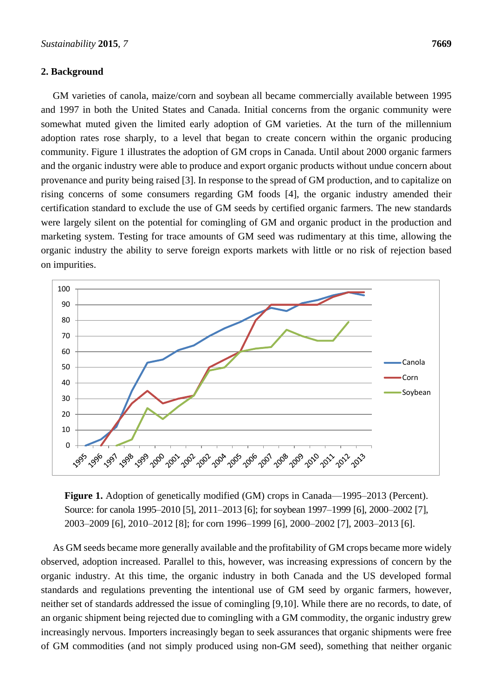#### **2. Background**

GM varieties of canola, maize/corn and soybean all became commercially available between 1995 and 1997 in both the United States and Canada. Initial concerns from the organic community were somewhat muted given the limited early adoption of GM varieties. At the turn of the millennium adoption rates rose sharply, to a level that began to create concern within the organic producing community. Figure 1 illustrates the adoption of GM crops in Canada. Until about 2000 organic farmers and the organic industry were able to produce and export organic products without undue concern about provenance and purity being raised [3]. In response to the spread of GM production, and to capitalize on rising concerns of some consumers regarding GM foods [4], the organic industry amended their certification standard to exclude the use of GM seeds by certified organic farmers. The new standards were largely silent on the potential for comingling of GM and organic product in the production and marketing system. Testing for trace amounts of GM seed was rudimentary at this time, allowing the organic industry the ability to serve foreign exports markets with little or no risk of rejection based on impurities.



**Figure 1.** Adoption of genetically modified (GM) crops in Canada—1995–2013 (Percent). Source: for canola 1995–2010 [5], 2011–2013 [6]; for soybean 1997–1999 [6], 2000–2002 [7], 2003–2009 [6], 2010–2012 [8]; for corn 1996–1999 [6], 2000–2002 [7], 2003–2013 [6].

As GM seeds became more generally available and the profitability of GM crops became more widely observed, adoption increased. Parallel to this, however, was increasing expressions of concern by the organic industry. At this time, the organic industry in both Canada and the US developed formal standards and regulations preventing the intentional use of GM seed by organic farmers, however, neither set of standards addressed the issue of comingling [9,10]. While there are no records, to date, of an organic shipment being rejected due to comingling with a GM commodity, the organic industry grew increasingly nervous. Importers increasingly began to seek assurances that organic shipments were free of GM commodities (and not simply produced using non-GM seed), something that neither organic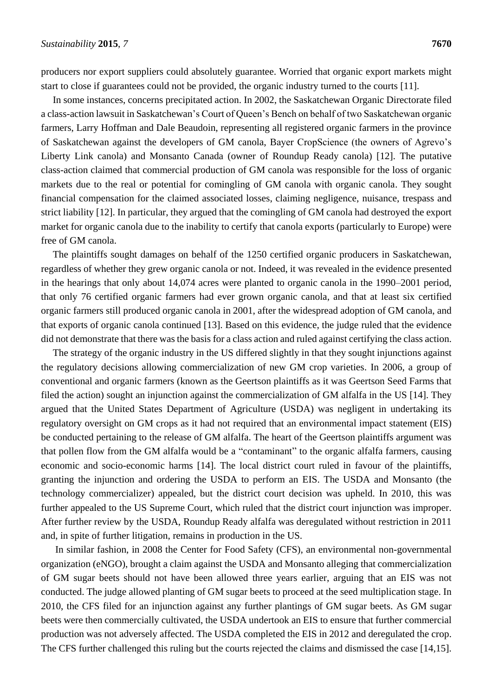producers nor export suppliers could absolutely guarantee. Worried that organic export markets might start to close if guarantees could not be provided, the organic industry turned to the courts [11].

In some instances, concerns precipitated action. In 2002, the Saskatchewan Organic Directorate filed a class-action lawsuit in Saskatchewan's Court of Queen's Bench on behalf of two Saskatchewan organic farmers, Larry Hoffman and Dale Beaudoin, representing all registered organic farmers in the province of Saskatchewan against the developers of GM canola, Bayer CropScience (the owners of Agrevo's Liberty Link canola) and Monsanto Canada (owner of Roundup Ready canola) [12]. The putative class-action claimed that commercial production of GM canola was responsible for the loss of organic markets due to the real or potential for comingling of GM canola with organic canola. They sought financial compensation for the claimed associated losses, claiming negligence, nuisance, trespass and strict liability [12]. In particular, they argued that the comingling of GM canola had destroyed the export market for organic canola due to the inability to certify that canola exports (particularly to Europe) were free of GM canola.

The plaintiffs sought damages on behalf of the 1250 certified organic producers in Saskatchewan, regardless of whether they grew organic canola or not. Indeed, it was revealed in the evidence presented in the hearings that only about 14,074 acres were planted to organic canola in the 1990–2001 period, that only 76 certified organic farmers had ever grown organic canola, and that at least six certified organic farmers still produced organic canola in 2001, after the widespread adoption of GM canola, and that exports of organic canola continued [13]. Based on this evidence, the judge ruled that the evidence did not demonstrate that there was the basis for a class action and ruled against certifying the class action.

The strategy of the organic industry in the US differed slightly in that they sought injunctions against the regulatory decisions allowing commercialization of new GM crop varieties. In 2006, a group of conventional and organic farmers (known as the Geertson plaintiffs as it was Geertson Seed Farms that filed the action) sought an injunction against the commercialization of GM alfalfa in the US [14]. They argued that the United States Department of Agriculture (USDA) was negligent in undertaking its regulatory oversight on GM crops as it had not required that an environmental impact statement (EIS) be conducted pertaining to the release of GM alfalfa. The heart of the Geertson plaintiffs argument was that pollen flow from the GM alfalfa would be a "contaminant" to the organic alfalfa farmers, causing economic and socio-economic harms [14]. The local district court ruled in favour of the plaintiffs, granting the injunction and ordering the USDA to perform an EIS. The USDA and Monsanto (the technology commercializer) appealed, but the district court decision was upheld. In 2010, this was further appealed to the US Supreme Court, which ruled that the district court injunction was improper. After further review by the USDA, Roundup Ready alfalfa was deregulated without restriction in 2011 and, in spite of further litigation, remains in production in the US.

In similar fashion, in 2008 the Center for Food Safety (CFS), an environmental non-governmental organization (eNGO), brought a claim against the USDA and Monsanto alleging that commercialization of GM sugar beets should not have been allowed three years earlier, arguing that an EIS was not conducted. The judge allowed planting of GM sugar beets to proceed at the seed multiplication stage. In 2010, the CFS filed for an injunction against any further plantings of GM sugar beets. As GM sugar beets were then commercially cultivated, the USDA undertook an EIS to ensure that further commercial production was not adversely affected. The USDA completed the EIS in 2012 and deregulated the crop. The CFS further challenged this ruling but the courts rejected the claims and dismissed the case [14,15].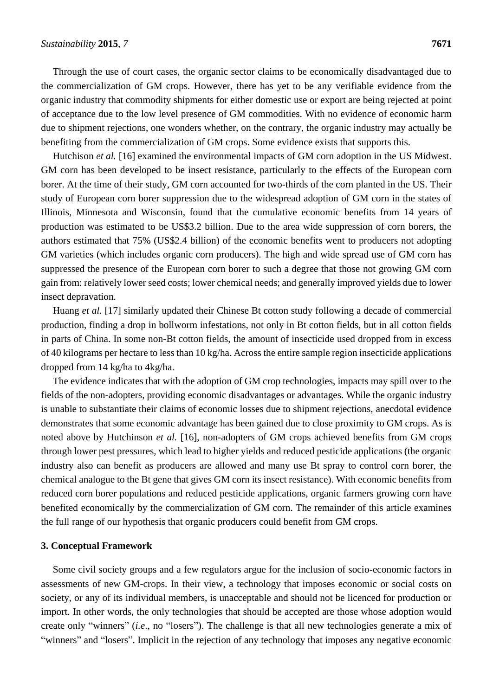Through the use of court cases, the organic sector claims to be economically disadvantaged due to the commercialization of GM crops. However, there has yet to be any verifiable evidence from the organic industry that commodity shipments for either domestic use or export are being rejected at point of acceptance due to the low level presence of GM commodities. With no evidence of economic harm due to shipment rejections, one wonders whether, on the contrary, the organic industry may actually be benefiting from the commercialization of GM crops. Some evidence exists that supports this.

Hutchison *et al.* [16] examined the environmental impacts of GM corn adoption in the US Midwest. GM corn has been developed to be insect resistance, particularly to the effects of the European corn borer. At the time of their study, GM corn accounted for two-thirds of the corn planted in the US. Their study of European corn borer suppression due to the widespread adoption of GM corn in the states of Illinois, Minnesota and Wisconsin, found that the cumulative economic benefits from 14 years of production was estimated to be US\$3.2 billion. Due to the area wide suppression of corn borers, the authors estimated that 75% (US\$2.4 billion) of the economic benefits went to producers not adopting GM varieties (which includes organic corn producers). The high and wide spread use of GM corn has suppressed the presence of the European corn borer to such a degree that those not growing GM corn gain from: relatively lower seed costs; lower chemical needs; and generally improved yields due to lower insect depravation.

Huang *et al.* [17] similarly updated their Chinese Bt cotton study following a decade of commercial production, finding a drop in bollworm infestations, not only in Bt cotton fields, but in all cotton fields in parts of China. In some non-Bt cotton fields, the amount of insecticide used dropped from in excess of 40 kilograms per hectare to less than 10 kg/ha. Across the entire sample region insecticide applications dropped from 14 kg/ha to 4kg/ha.

The evidence indicates that with the adoption of GM crop technologies, impacts may spill over to the fields of the non-adopters, providing economic disadvantages or advantages. While the organic industry is unable to substantiate their claims of economic losses due to shipment rejections, anecdotal evidence demonstrates that some economic advantage has been gained due to close proximity to GM crops. As is noted above by Hutchinson *et al.* [16], non-adopters of GM crops achieved benefits from GM crops through lower pest pressures, which lead to higher yields and reduced pesticide applications (the organic industry also can benefit as producers are allowed and many use Bt spray to control corn borer, the chemical analogue to the Bt gene that gives GM corn its insect resistance). With economic benefits from reduced corn borer populations and reduced pesticide applications, organic farmers growing corn have benefited economically by the commercialization of GM corn. The remainder of this article examines the full range of our hypothesis that organic producers could benefit from GM crops.

#### **3. Conceptual Framework**

Some civil society groups and a few regulators argue for the inclusion of socio-economic factors in assessments of new GM-crops. In their view, a technology that imposes economic or social costs on society, or any of its individual members, is unacceptable and should not be licenced for production or import. In other words, the only technologies that should be accepted are those whose adoption would create only "winners" (*i.e*., no "losers"). The challenge is that all new technologies generate a mix of "winners" and "losers". Implicit in the rejection of any technology that imposes any negative economic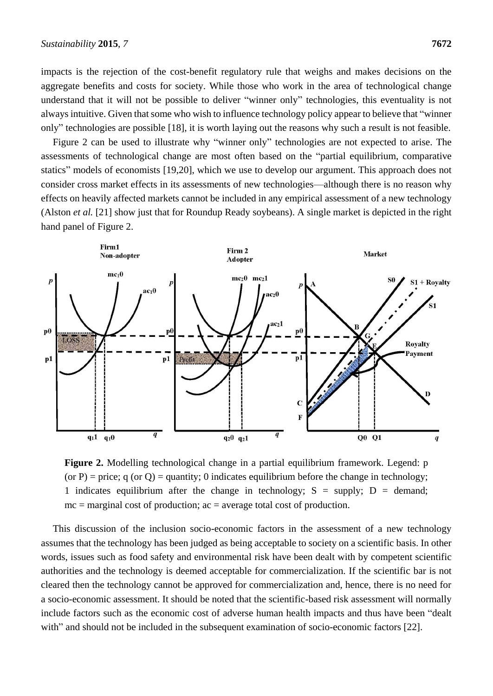impacts is the rejection of the cost-benefit regulatory rule that weighs and makes decisions on the aggregate benefits and costs for society. While those who work in the area of technological change understand that it will not be possible to deliver "winner only" technologies, this eventuality is not always intuitive. Given that some who wish to influence technology policy appear to believe that "winner only" technologies are possible [18], it is worth laying out the reasons why such a result is not feasible.

Figure 2 can be used to illustrate why "winner only" technologies are not expected to arise. The assessments of technological change are most often based on the "partial equilibrium, comparative statics" models of economists [19,20], which we use to develop our argument. This approach does not consider cross market effects in its assessments of new technologies—although there is no reason why effects on heavily affected markets cannot be included in any empirical assessment of a new technology (Alston *et al.* [21] show just that for Roundup Ready soybeans). A single market is depicted in the right hand panel of Figure 2.



**Figure 2.** Modelling technological change in a partial equilibrium framework. Legend: p (or P) = price; q (or Q) = quantity; 0 indicates equilibrium before the change in technology; 1 indicates equilibrium after the change in technology;  $S =$  supply;  $D =$  demand;  $mc =$  marginal cost of production;  $ac =$  average total cost of production.

This discussion of the inclusion socio-economic factors in the assessment of a new technology assumes that the technology has been judged as being acceptable to society on a scientific basis. In other words, issues such as food safety and environmental risk have been dealt with by competent scientific authorities and the technology is deemed acceptable for commercialization. If the scientific bar is not cleared then the technology cannot be approved for commercialization and, hence, there is no need for a socio-economic assessment. It should be noted that the scientific-based risk assessment will normally include factors such as the economic cost of adverse human health impacts and thus have been "dealt with" and should not be included in the subsequent examination of socio-economic factors [22].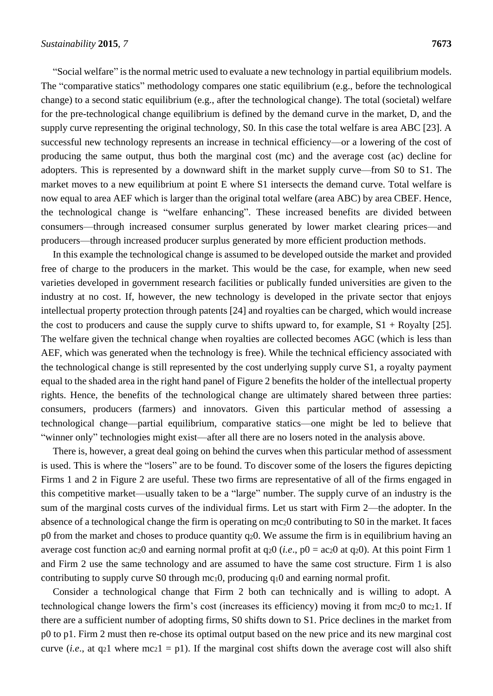"Social welfare" is the normal metric used to evaluate a new technology in partial equilibrium models. The "comparative statics" methodology compares one static equilibrium (e.g., before the technological change) to a second static equilibrium (e.g., after the technological change). The total (societal) welfare for the pre-technological change equilibrium is defined by the demand curve in the market, D, and the supply curve representing the original technology, S0. In this case the total welfare is area ABC [23]. A successful new technology represents an increase in technical efficiency—or a lowering of the cost of producing the same output, thus both the marginal cost (mc) and the average cost (ac) decline for adopters. This is represented by a downward shift in the market supply curve—from S0 to S1. The market moves to a new equilibrium at point E where S1 intersects the demand curve. Total welfare is now equal to area AEF which is larger than the original total welfare (area ABC) by area CBEF. Hence, the technological change is "welfare enhancing". These increased benefits are divided between consumers—through increased consumer surplus generated by lower market clearing prices—and producers—through increased producer surplus generated by more efficient production methods.

In this example the technological change is assumed to be developed outside the market and provided free of charge to the producers in the market. This would be the case, for example, when new seed varieties developed in government research facilities or publically funded universities are given to the industry at no cost. If, however, the new technology is developed in the private sector that enjoys intellectual property protection through patents [24] and royalties can be charged, which would increase the cost to producers and cause the supply curve to shifts upward to, for example,  $S1 + Royalty$  [25]. The welfare given the technical change when royalties are collected becomes AGC (which is less than AEF, which was generated when the technology is free). While the technical efficiency associated with the technological change is still represented by the cost underlying supply curve S1, a royalty payment equal to the shaded area in the right hand panel of Figure 2 benefits the holder of the intellectual property rights. Hence, the benefits of the technological change are ultimately shared between three parties: consumers, producers (farmers) and innovators. Given this particular method of assessing a technological change—partial equilibrium, comparative statics—one might be led to believe that "winner only" technologies might exist—after all there are no losers noted in the analysis above.

There is, however, a great deal going on behind the curves when this particular method of assessment is used. This is where the "losers" are to be found. To discover some of the losers the figures depicting Firms 1 and 2 in Figure 2 are useful. These two firms are representative of all of the firms engaged in this competitive market—usually taken to be a "large" number. The supply curve of an industry is the sum of the marginal costs curves of the individual firms. Let us start with Firm 2—the adopter. In the absence of a technological change the firm is operating on mc20 contributing to S0 in the market. It faces p0 from the market and choses to produce quantity  $q_2$ , We assume the firm is in equilibrium having an average cost function ac20 and earning normal profit at q20 (*i.e*., p0 = ac20 at q20). At this point Firm 1 and Firm 2 use the same technology and are assumed to have the same cost structure. Firm 1 is also contributing to supply curve S0 through mc10, producing q10 and earning normal profit.

Consider a technological change that Firm 2 both can technically and is willing to adopt. A technological change lowers the firm's cost (increases its efficiency) moving it from  $mc_2$ 0 to mc<sub>2</sub>1. If there are a sufficient number of adopting firms, S0 shifts down to S1. Price declines in the market from p0 to p1. Firm 2 must then re-chose its optimal output based on the new price and its new marginal cost curve (*i.e.*, at q<sub>2</sub>1 where mc<sub>2</sub>1 = p1). If the marginal cost shifts down the average cost will also shift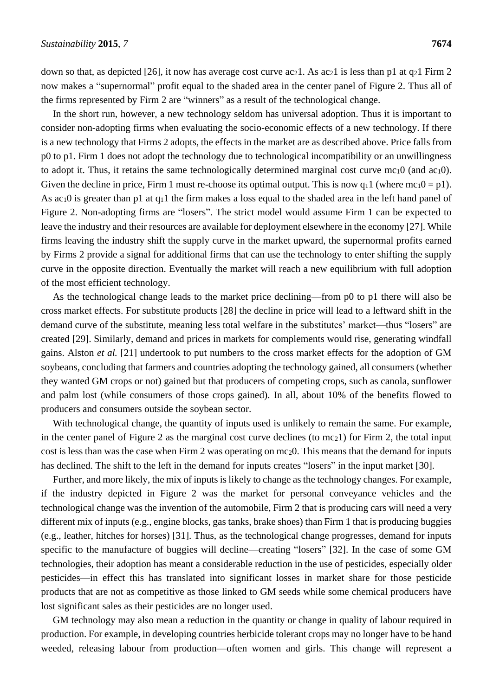down so that, as depicted [26], it now has average cost curve ac<sub>2</sub>1. As ac<sub>2</sub>1 is less than p1 at q<sub>2</sub>1 Firm 2 now makes a "supernormal" profit equal to the shaded area in the center panel of Figure 2. Thus all of the firms represented by Firm 2 are "winners" as a result of the technological change.

In the short run, however, a new technology seldom has universal adoption. Thus it is important to consider non-adopting firms when evaluating the socio-economic effects of a new technology. If there is a new technology that Firms 2 adopts, the effects in the market are as described above. Price falls from p0 to p1. Firm 1 does not adopt the technology due to technological incompatibility or an unwillingness to adopt it. Thus, it retains the same technologically determined marginal cost curve  $mc_10$  (and  $ac_10$ ). Given the decline in price, Firm 1 must re-choose its optimal output. This is now  $q_1 1$  (where  $mc_1 0 = p1$ ). As ac<sub>1</sub>0 is greater than p1 at  $q_1$ 1 the firm makes a loss equal to the shaded area in the left hand panel of Figure 2. Non-adopting firms are "losers". The strict model would assume Firm 1 can be expected to leave the industry and their resources are available for deployment elsewhere in the economy [27]. While firms leaving the industry shift the supply curve in the market upward, the supernormal profits earned by Firms 2 provide a signal for additional firms that can use the technology to enter shifting the supply curve in the opposite direction. Eventually the market will reach a new equilibrium with full adoption of the most efficient technology.

As the technological change leads to the market price declining—from p0 to p1 there will also be cross market effects. For substitute products [28] the decline in price will lead to a leftward shift in the demand curve of the substitute, meaning less total welfare in the substitutes' market—thus "losers" are created [29]. Similarly, demand and prices in markets for complements would rise, generating windfall gains. Alston *et al.* [21] undertook to put numbers to the cross market effects for the adoption of GM soybeans, concluding that farmers and countries adopting the technology gained, all consumers (whether they wanted GM crops or not) gained but that producers of competing crops, such as canola, sunflower and palm lost (while consumers of those crops gained). In all, about 10% of the benefits flowed to producers and consumers outside the soybean sector.

With technological change, the quantity of inputs used is unlikely to remain the same. For example, in the center panel of Figure 2 as the marginal cost curve declines (to mc21) for Firm 2, the total input cost is less than was the case when Firm 2 was operating on mc20. This means that the demand for inputs has declined. The shift to the left in the demand for inputs creates "losers" in the input market [30].

Further, and more likely, the mix of inputs is likely to change as the technology changes. For example, if the industry depicted in Figure 2 was the market for personal conveyance vehicles and the technological change was the invention of the automobile, Firm 2 that is producing cars will need a very different mix of inputs (e.g., engine blocks, gas tanks, brake shoes) than Firm 1 that is producing buggies (e.g., leather, hitches for horses) [31]. Thus, as the technological change progresses, demand for inputs specific to the manufacture of buggies will decline—creating "losers" [32]. In the case of some GM technologies, their adoption has meant a considerable reduction in the use of pesticides, especially older pesticides—in effect this has translated into significant losses in market share for those pesticide products that are not as competitive as those linked to GM seeds while some chemical producers have lost significant sales as their pesticides are no longer used.

GM technology may also mean a reduction in the quantity or change in quality of labour required in production. For example, in developing countries herbicide tolerant crops may no longer have to be hand weeded, releasing labour from production—often women and girls. This change will represent a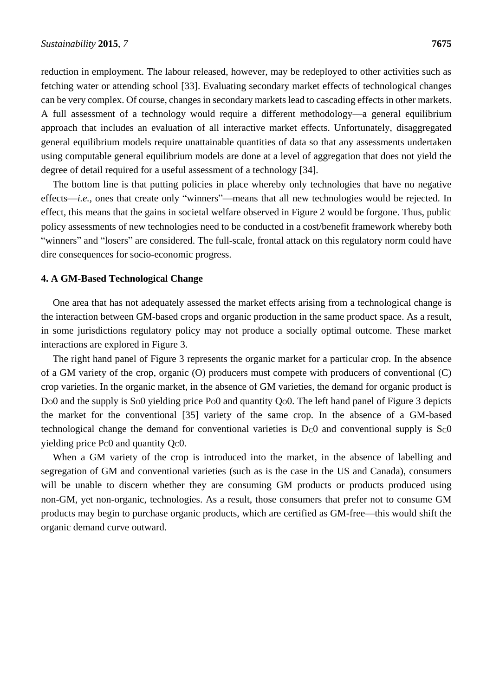reduction in employment. The labour released, however, may be redeployed to other activities such as fetching water or attending school [33]. Evaluating secondary market effects of technological changes can be very complex. Of course, changes in secondary markets lead to cascading effects in other markets. A full assessment of a technology would require a different methodology—a general equilibrium approach that includes an evaluation of all interactive market effects. Unfortunately, disaggregated general equilibrium models require unattainable quantities of data so that any assessments undertaken using computable general equilibrium models are done at a level of aggregation that does not yield the degree of detail required for a useful assessment of a technology [34].

The bottom line is that putting policies in place whereby only technologies that have no negative effects—*i.e.*, ones that create only "winners"—means that all new technologies would be rejected. In effect, this means that the gains in societal welfare observed in Figure 2 would be forgone. Thus, public policy assessments of new technologies need to be conducted in a cost/benefit framework whereby both "winners" and "losers" are considered. The full-scale, frontal attack on this regulatory norm could have dire consequences for socio-economic progress.

#### **4. A GM-Based Technological Change**

One area that has not adequately assessed the market effects arising from a technological change is the interaction between GM-based crops and organic production in the same product space. As a result, in some jurisdictions regulatory policy may not produce a socially optimal outcome. These market interactions are explored in Figure 3.

The right hand panel of Figure 3 represents the organic market for a particular crop. In the absence of a GM variety of the crop, organic (O) producers must compete with producers of conventional (C) crop varieties. In the organic market, in the absence of GM varieties, the demand for organic product is Do0 and the supply is So0 yielding price Po0 and quantity Qo0. The left hand panel of Figure 3 depicts the market for the conventional [35] variety of the same crop. In the absence of a GM-based technological change the demand for conventional varieties is  $D<sub>c</sub>0$  and conventional supply is  $S<sub>c</sub>0$ yielding price Pc0 and quantity Qc0.

When a GM variety of the crop is introduced into the market, in the absence of labelling and segregation of GM and conventional varieties (such as is the case in the US and Canada), consumers will be unable to discern whether they are consuming GM products or products produced using non-GM, yet non-organic, technologies. As a result, those consumers that prefer not to consume GM products may begin to purchase organic products, which are certified as GM-free—this would shift the organic demand curve outward.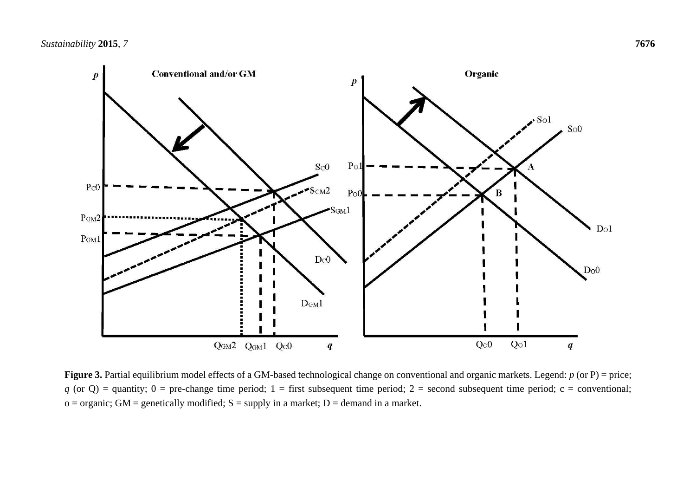

Figure 3. Partial equilibrium model effects of a GM-based technological change on conventional and organic markets. Legend: *p* (or P) = price;  $q$  (or Q) = quantity; 0 = pre-change time period; 1 = first subsequent time period; 2 = second subsequent time period; c = conventional;  $o =$  organic; GM = genetically modified; S = supply in a market; D = demand in a market.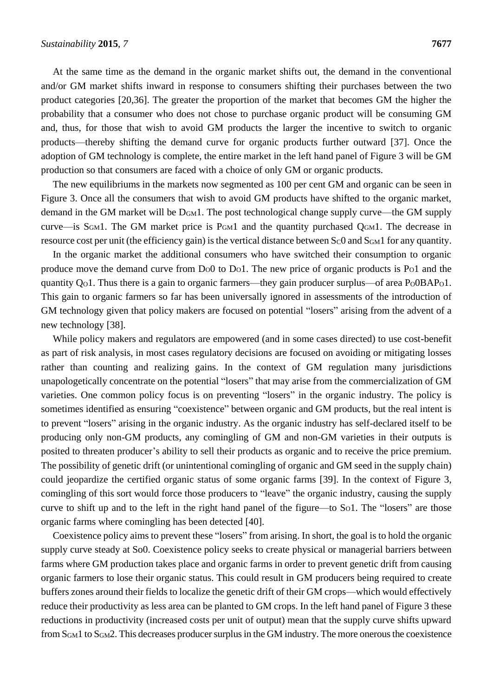At the same time as the demand in the organic market shifts out, the demand in the conventional and/or GM market shifts inward in response to consumers shifting their purchases between the two product categories [20,36]. The greater the proportion of the market that becomes GM the higher the probability that a consumer who does not chose to purchase organic product will be consuming GM and, thus, for those that wish to avoid GM products the larger the incentive to switch to organic products—thereby shifting the demand curve for organic products further outward [37]. Once the adoption of GM technology is complete, the entire market in the left hand panel of Figure 3 will be GM production so that consumers are faced with a choice of only GM or organic products.

The new equilibriums in the markets now segmented as 100 per cent GM and organic can be seen in Figure 3. Once all the consumers that wish to avoid GM products have shifted to the organic market, demand in the GM market will be DGM1. The post technological change supply curve—the GM supply curve—is S<sub>GM</sub>1. The GM market price is  $P_{GML}$  and the quantity purchased  $Q_{GML}$ . The decrease in resource cost per unit (the efficiency gain) is the vertical distance between  $S<sub>C</sub>0$  and  $S<sub>GM</sub>1$  for any quantity.

In the organic market the additional consumers who have switched their consumption to organic produce move the demand curve from  $Do0$  to  $Do1$ . The new price of organic products is P $o1$  and the quantity  $Q_0$ 1. Thus there is a gain to organic farmers—they gain producer surplus—of area  $P_0$  $0BAP_0$ 1. This gain to organic farmers so far has been universally ignored in assessments of the introduction of GM technology given that policy makers are focused on potential "losers" arising from the advent of a new technology [38].

While policy makers and regulators are empowered (and in some cases directed) to use cost-benefit as part of risk analysis, in most cases regulatory decisions are focused on avoiding or mitigating losses rather than counting and realizing gains. In the context of GM regulation many jurisdictions unapologetically concentrate on the potential "losers" that may arise from the commercialization of GM varieties. One common policy focus is on preventing "losers" in the organic industry. The policy is sometimes identified as ensuring "coexistence" between organic and GM products, but the real intent is to prevent "losers" arising in the organic industry. As the organic industry has self-declared itself to be producing only non-GM products, any comingling of GM and non-GM varieties in their outputs is posited to threaten producer's ability to sell their products as organic and to receive the price premium. The possibility of genetic drift (or unintentional comingling of organic and GM seed in the supply chain) could jeopardize the certified organic status of some organic farms [39]. In the context of Figure 3, comingling of this sort would force those producers to "leave" the organic industry, causing the supply curve to shift up and to the left in the right hand panel of the figure—to So1. The "losers" are those organic farms where comingling has been detected [40].

Coexistence policy aims to prevent these "losers" from arising. In short, the goal is to hold the organic supply curve steady at So0. Coexistence policy seeks to create physical or managerial barriers between farms where GM production takes place and organic farms in order to prevent genetic drift from causing organic farmers to lose their organic status. This could result in GM producers being required to create buffers zones around their fields to localize the genetic drift of their GM crops—which would effectively reduce their productivity as less area can be planted to GM crops. In the left hand panel of Figure 3 these reductions in productivity (increased costs per unit of output) mean that the supply curve shifts upward from SGM1 to SGM2. This decreases producer surplus in the GM industry. The more onerous the coexistence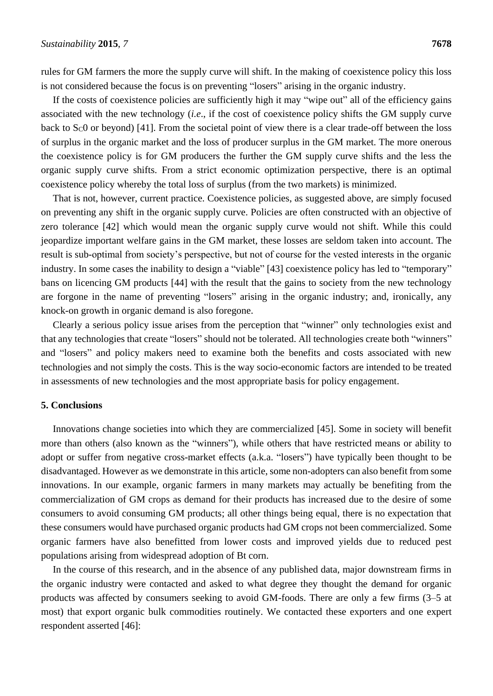rules for GM farmers the more the supply curve will shift. In the making of coexistence policy this loss is not considered because the focus is on preventing "losers" arising in the organic industry.

If the costs of coexistence policies are sufficiently high it may "wipe out" all of the efficiency gains associated with the new technology (*i.e*., if the cost of coexistence policy shifts the GM supply curve back to  $S<sub>c</sub>0$  or beyond) [41]. From the societal point of view there is a clear trade-off between the loss of surplus in the organic market and the loss of producer surplus in the GM market. The more onerous the coexistence policy is for GM producers the further the GM supply curve shifts and the less the organic supply curve shifts. From a strict economic optimization perspective, there is an optimal coexistence policy whereby the total loss of surplus (from the two markets) is minimized.

That is not, however, current practice. Coexistence policies, as suggested above, are simply focused on preventing any shift in the organic supply curve. Policies are often constructed with an objective of zero tolerance [42] which would mean the organic supply curve would not shift. While this could jeopardize important welfare gains in the GM market, these losses are seldom taken into account. The result is sub-optimal from society's perspective, but not of course for the vested interests in the organic industry. In some cases the inability to design a "viable" [43] coexistence policy has led to "temporary" bans on licencing GM products [44] with the result that the gains to society from the new technology are forgone in the name of preventing "losers" arising in the organic industry; and, ironically, any knock-on growth in organic demand is also foregone.

Clearly a serious policy issue arises from the perception that "winner" only technologies exist and that any technologies that create "losers" should not be tolerated. All technologies create both "winners" and "losers" and policy makers need to examine both the benefits and costs associated with new technologies and not simply the costs. This is the way socio-economic factors are intended to be treated in assessments of new technologies and the most appropriate basis for policy engagement.

### **5. Conclusions**

Innovations change societies into which they are commercialized [45]. Some in society will benefit more than others (also known as the "winners"), while others that have restricted means or ability to adopt or suffer from negative cross-market effects (a.k.a. "losers") have typically been thought to be disadvantaged. However as we demonstrate in this article, some non-adopters can also benefit from some innovations. In our example, organic farmers in many markets may actually be benefiting from the commercialization of GM crops as demand for their products has increased due to the desire of some consumers to avoid consuming GM products; all other things being equal, there is no expectation that these consumers would have purchased organic products had GM crops not been commercialized. Some organic farmers have also benefitted from lower costs and improved yields due to reduced pest populations arising from widespread adoption of Bt corn.

In the course of this research, and in the absence of any published data, major downstream firms in the organic industry were contacted and asked to what degree they thought the demand for organic products was affected by consumers seeking to avoid GM-foods. There are only a few firms (3–5 at most) that export organic bulk commodities routinely. We contacted these exporters and one expert respondent asserted [46]: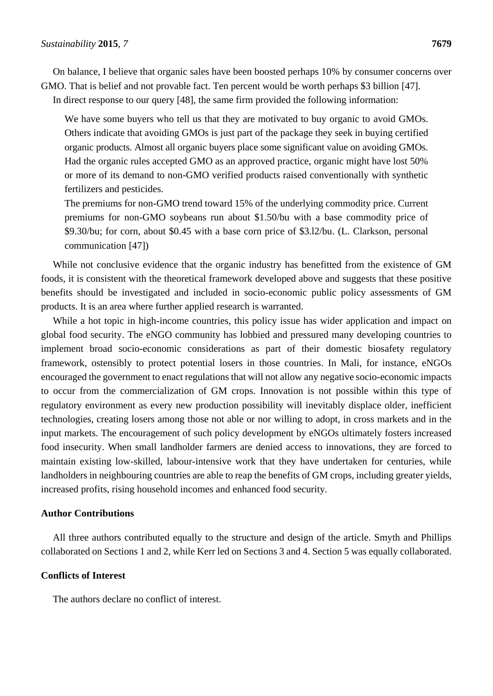On balance, I believe that organic sales have been boosted perhaps 10% by consumer concerns over GMO. That is belief and not provable fact. Ten percent would be worth perhaps \$3 billion [47]. In direct response to our query [48], the same firm provided the following information:

We have some buyers who tell us that they are motivated to buy organic to avoid GMOs. Others indicate that avoiding GMOs is just part of the package they seek in buying certified organic products. Almost all organic buyers place some significant value on avoiding GMOs. Had the organic rules accepted GMO as an approved practice, organic might have lost 50% or more of its demand to non-GMO verified products raised conventionally with synthetic fertilizers and pesticides.

The premiums for non-GMO trend toward 15% of the underlying commodity price. Current premiums for non-GMO soybeans run about \$1.50/bu with a base commodity price of \$9.30/bu; for corn, about \$0.45 with a base corn price of \$3.l2/bu. (L. Clarkson, personal communication [47])

While not conclusive evidence that the organic industry has benefitted from the existence of GM foods, it is consistent with the theoretical framework developed above and suggests that these positive benefits should be investigated and included in socio-economic public policy assessments of GM products. It is an area where further applied research is warranted.

While a hot topic in high-income countries, this policy issue has wider application and impact on global food security. The eNGO community has lobbied and pressured many developing countries to implement broad socio-economic considerations as part of their domestic biosafety regulatory framework, ostensibly to protect potential losers in those countries. In Mali, for instance, eNGOs encouraged the government to enact regulations that will not allow any negative socio-economic impacts to occur from the commercialization of GM crops. Innovation is not possible within this type of regulatory environment as every new production possibility will inevitably displace older, inefficient technologies, creating losers among those not able or nor willing to adopt, in cross markets and in the input markets. The encouragement of such policy development by eNGOs ultimately fosters increased food insecurity. When small landholder farmers are denied access to innovations, they are forced to maintain existing low-skilled, labour-intensive work that they have undertaken for centuries, while landholders in neighbouring countries are able to reap the benefits of GM crops, including greater yields, increased profits, rising household incomes and enhanced food security.

#### **Author Contributions**

All three authors contributed equally to the structure and design of the article. Smyth and Phillips collaborated on Sections 1 and 2, while Kerr led on Sections 3 and 4. Section 5 was equally collaborated.

#### **Conflicts of Interest**

The authors declare no conflict of interest.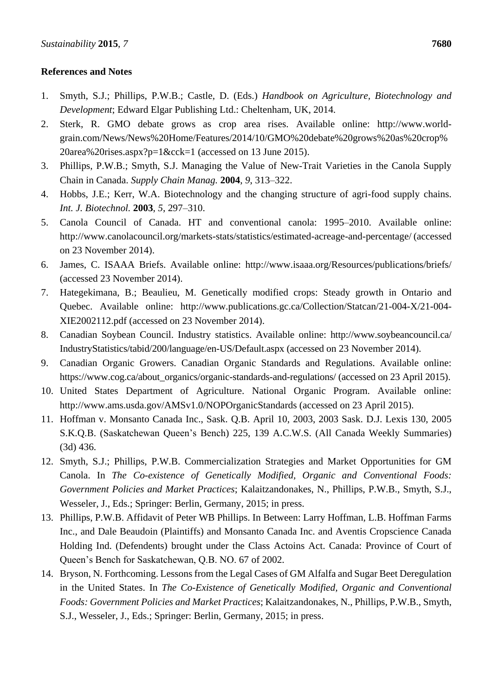## **References and Notes**

- 1. Smyth, S.J.; Phillips, P.W.B.; Castle, D. (Eds.) *Handbook on Agriculture, Biotechnology and Development*; Edward Elgar Publishing Ltd.: Cheltenham, UK, 2014.
- 2. Sterk, R. GMO debate grows as crop area rises. Available online: http://www.worldgrain.com/News/News%20Home/Features/2014/10/GMO%20debate%20grows%20as%20crop% 20area%20rises.aspx?p=1&cck=1 (accessed on 13 June 2015).
- 3. Phillips, P.W.B.; Smyth, S.J. Managing the Value of New-Trait Varieties in the Canola Supply Chain in Canada. *Supply Chain Manag.* **2004**, *9*, 313–322.
- 4. Hobbs, J.E.; Kerr, W.A. Biotechnology and the changing structure of agri-food supply chains. *Int. J. Biotechnol.* **2003**, *5*, 297–310.
- 5. Canola Council of Canada. HT and conventional canola: 1995–2010. Available online: http://www.canolacouncil.org/markets-stats/statistics/estimated-acreage-and-percentage/ (accessed on 23 November 2014).
- 6. James, C. ISAAA Briefs. Available online: http://www.isaaa.org/Resources/publications/briefs/ (accessed 23 November 2014).
- 7. Hategekimana, B.; Beaulieu, M. Genetically modified crops: Steady growth in Ontario and Quebec. Available online: http://www.publications.gc.ca/Collection/Statcan/21-004-X/21-004- XIE2002112.pdf (accessed on 23 November 2014).
- 8. Canadian Soybean Council. Industry statistics. Available online: http://www.soybeancouncil.ca/ IndustryStatistics/tabid/200/language/en-US/Default.aspx (accessed on 23 November 2014).
- 9. Canadian Organic Growers. Canadian Organic Standards and Regulations. Available online: https://www.cog.ca/about\_organics/organic-standards-and-regulations/ (accessed on 23 April 2015).
- 10. United States Department of Agriculture. National Organic Program. Available online: http://www.ams.usda.gov/AMSv1.0/NOPOrganicStandards (accessed on 23 April 2015).
- 11. Hoffman v. Monsanto Canada Inc., Sask. Q.B. April 10, 2003, 2003 Sask. D.J. Lexis 130, 2005 S.K.Q.B. (Saskatchewan Queen's Bench) 225, 139 A.C.W.S. (All Canada Weekly Summaries) (3d) 436.
- 12. Smyth, S.J.; Phillips, P.W.B. Commercialization Strategies and Market Opportunities for GM Canola. In *The Co-existence of Genetically Modified, Organic and Conventional Foods: Government Policies and Market Practices*; Kalaitzandonakes, N., Phillips, P.W.B., Smyth, S.J., Wesseler, J., Eds.; Springer: Berlin, Germany, 2015; in press.
- 13. Phillips, P.W.B. Affidavit of Peter WB Phillips. In Between: Larry Hoffman, L.B. Hoffman Farms Inc., and Dale Beaudoin (Plaintiffs) and Monsanto Canada Inc. and Aventis Cropscience Canada Holding Ind. (Defendents) brought under the Class Actoins Act. Canada: Province of Court of Queen's Bench for Saskatchewan, Q.B. NO. 67 of 2002.
- 14. Bryson, N. Forthcoming. Lessons from the Legal Cases of GM Alfalfa and Sugar Beet Deregulation in the United States. In *The Co-Existence of Genetically Modified, Organic and Conventional Foods: Government Policies and Market Practices*; Kalaitzandonakes, N., Phillips, P.W.B., Smyth, S.J., Wesseler, J., Eds.; Springer: Berlin, Germany, 2015; in press.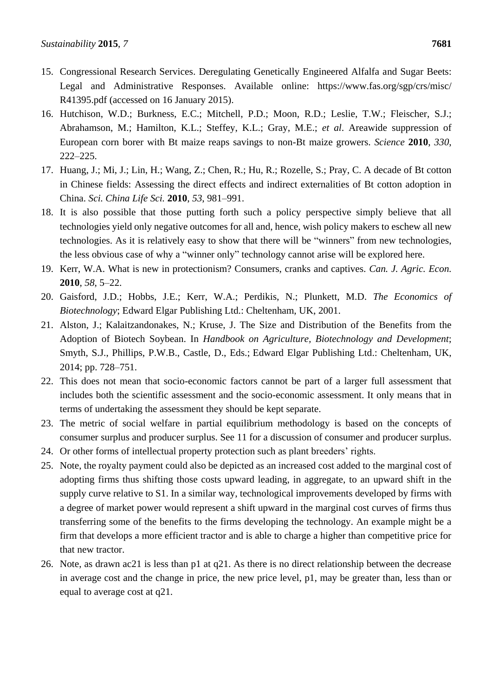- 15. Congressional Research Services. Deregulating Genetically Engineered Alfalfa and Sugar Beets: Legal and Administrative Responses. Available online: https://www.fas.org/sgp/crs/misc/ R41395.pdf (accessed on 16 January 2015).
- 16. Hutchison, W.D.; Burkness, E.C.; Mitchell, P.D.; Moon, R.D.; Leslie, T.W.; Fleischer, S.J.; Abrahamson, M.; Hamilton, K.L.; Steffey, K.L.; Gray, M.E.; *et al*. Areawide suppression of European corn borer with Bt maize reaps savings to non-Bt maize growers. *Science* **2010**, *330*, 222–225.
- 17. Huang, J.; Mi, J.; Lin, H.; Wang, Z.; Chen, R.; Hu, R.; Rozelle, S.; Pray, C. A decade of Bt cotton in Chinese fields: Assessing the direct effects and indirect externalities of Bt cotton adoption in China. *Sci. China Life Sci.* **2010**, *53*, 981–991.
- 18. It is also possible that those putting forth such a policy perspective simply believe that all technologies yield only negative outcomes for all and, hence, wish policy makers to eschew all new technologies. As it is relatively easy to show that there will be "winners" from new technologies, the less obvious case of why a "winner only" technology cannot arise will be explored here.
- 19. Kerr, W.A. What is new in protectionism? Consumers, cranks and captives. *Can. J. Agric. Econ.* **2010**, *58*, 5–22.
- 20. Gaisford, J.D.; Hobbs, J.E.; Kerr, W.A.; Perdikis, N.; Plunkett, M.D. *The Economics of Biotechnology*; Edward Elgar Publishing Ltd.: Cheltenham, UK, 2001.
- 21. Alston, J.; Kalaitzandonakes, N.; Kruse, J. The Size and Distribution of the Benefits from the Adoption of Biotech Soybean. In *Handbook on Agriculture, Biotechnology and Development*; Smyth, S.J., Phillips, P.W.B., Castle, D., Eds.; Edward Elgar Publishing Ltd.: Cheltenham, UK, 2014; pp. 728–751.
- 22. This does not mean that socio-economic factors cannot be part of a larger full assessment that includes both the scientific assessment and the socio-economic assessment. It only means that in terms of undertaking the assessment they should be kept separate.
- 23. The metric of social welfare in partial equilibrium methodology is based on the concepts of consumer surplus and producer surplus. See 11 for a discussion of consumer and producer surplus.
- 24. Or other forms of intellectual property protection such as plant breeders' rights.
- 25. Note, the royalty payment could also be depicted as an increased cost added to the marginal cost of adopting firms thus shifting those costs upward leading, in aggregate, to an upward shift in the supply curve relative to S1. In a similar way, technological improvements developed by firms with a degree of market power would represent a shift upward in the marginal cost curves of firms thus transferring some of the benefits to the firms developing the technology. An example might be a firm that develops a more efficient tractor and is able to charge a higher than competitive price for that new tractor.
- 26. Note, as drawn ac21 is less than p1 at q21. As there is no direct relationship between the decrease in average cost and the change in price, the new price level, p1, may be greater than, less than or equal to average cost at q21.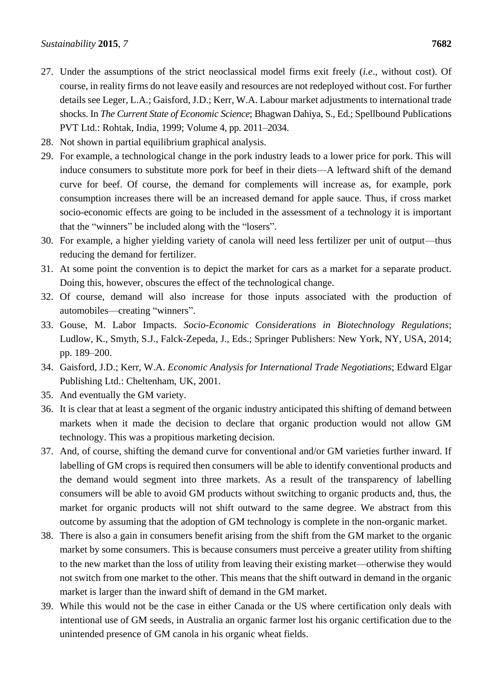- 27. Under the assumptions of the strict neoclassical model firms exit freely (*i.e*., without cost). Of course, in reality firms do not leave easily and resources are not redeployed without cost. For further details see Leger, L.A.; Gaisford, J.D.; Kerr, W.A. Labour market adjustments to international trade shocks. In *The Current State of Economic Science*; Bhagwan Dahiya, S., Ed.; Spellbound Publications PVT Ltd.: Rohtak, India, 1999; Volume 4, pp. 2011–2034.
- 28. Not shown in partial equilibrium graphical analysis.
- 29. For example, a technological change in the pork industry leads to a lower price for pork. This will induce consumers to substitute more pork for beef in their diets—A leftward shift of the demand curve for beef. Of course, the demand for complements will increase as, for example, pork consumption increases there will be an increased demand for apple sauce. Thus, if cross market socio-economic effects are going to be included in the assessment of a technology it is important that the "winners" be included along with the "losers".
- 30. For example, a higher yielding variety of canola will need less fertilizer per unit of output—thus reducing the demand for fertilizer.
- 31. At some point the convention is to depict the market for cars as a market for a separate product. Doing this, however, obscures the effect of the technological change.
- 32. Of course, demand will also increase for those inputs associated with the production of automobiles—creating "winners".
- 33. Gouse, M. Labor Impacts. *Socio-Economic Considerations in Biotechnology Regulations*; Ludlow, K., Smyth, S.J., Falck-Zepeda, J., Eds.; Springer Publishers: New York, NY, USA, 2014; pp. 189–200.
- 34. Gaisford, J.D.; Kerr, W.A. *Economic Analysis for International Trade Negotiations*; Edward Elgar Publishing Ltd.: Cheltenham, UK, 2001.
- 35. And eventually the GM variety.
- 36. It is clear that at least a segment of the organic industry anticipated this shifting of demand between markets when it made the decision to declare that organic production would not allow GM technology. This was a propitious marketing decision.
- 37. And, of course, shifting the demand curve for conventional and/or GM varieties further inward. If labelling of GM crops is required then consumers will be able to identify conventional products and the demand would segment into three markets. As a result of the transparency of labelling consumers will be able to avoid GM products without switching to organic products and, thus, the market for organic products will not shift outward to the same degree. We abstract from this outcome by assuming that the adoption of GM technology is complete in the non-organic market.
- 38. There is also a gain in consumers benefit arising from the shift from the GM market to the organic market by some consumers. This is because consumers must perceive a greater utility from shifting to the new market than the loss of utility from leaving their existing market—otherwise they would not switch from one market to the other. This means that the shift outward in demand in the organic market is larger than the inward shift of demand in the GM market.
- 39. While this would not be the case in either Canada or the US where certification only deals with intentional use of GM seeds, in Australia an organic farmer lost his organic certification due to the unintended presence of GM canola in his organic wheat fields.